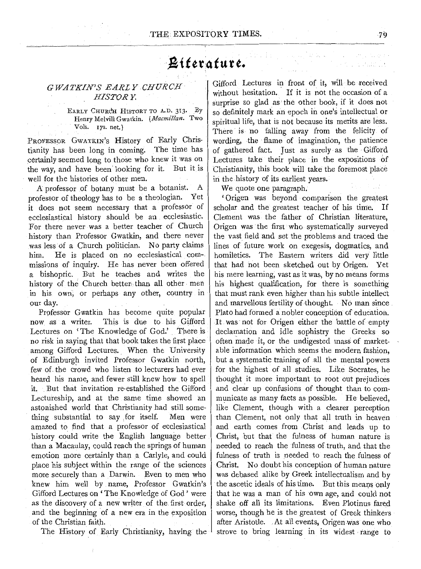## Literature.

#### *GWATKIN'S EARLY CHURCH HISTORY.*

EARLY CHURCH HISTORY TO A.D. 313. By Henry Melvill Gwatkin. *(Macmillan.* Two Vols. 17s. net.)

PROFESSOR GwATKIN's History of Early Christianity has been long in coming. The time has certainly seemed long to those who knew it was on the way, and have been looking for it. But it is well for the histories of other men.

A professor of botany must be a botanist. A professor of theology has to be a theologian. Yet it does not seem necessary that a professor of ecclesiastical history should be an ecclesiastic. For there never was a better teacher of Church history than Professor Gwatkin, and there never was less of a Church politician. No party claims him. He is placed on no ecclesiastical commissions of inquiry. He has never been offered a bishopric. But he teaches and writes the history of the Church better than all other men in his own; or perhaps any other, country in our day.

Professor Gwatkin has become quite popular now as a writer. This is due to his Gifford Lectures on 'The Knowledge of God.' There is no risk in saying that that book takes the first place among Gifford Lectures. When the University of Edinburgh invited Professor Gwatkin north, few of the crowd who listen to lecturers had ever heard his name, and fewer still knew how to spell it. But that invitation re-established the Gifford Lectureship, and at the same time showed an astonished world that Christianity had still something substantial to say for itself. Men were amazed to find that a professor of ecclesiastical history could write the English language better than a Macaulay, could reach the springs of human emotion more certainly than a Carlyle, and could place his subject within the range of the sciences more securely than a Darwin. Even to men who knew him well by name, Professor Gwatkin's Gifford Lectures on 'The Knowledge of God' were as the discovery of a new writer of the. first order, and the beginning of a new era in the exposition of the Christian faith.

The History of Early Christianity, having the

Gifford Lectures in front of it, will be received without hesitation. If it is not the occasion of a surprise so glad as the other book, if it does not so definitely mark an epoch in one's intellectual or spiritual life, that is not because its merits are less. There is no falling away from the felicity of wording, the flame of imagination, the patience of gathered fact. Just as surely as the Gifford Lectures take their place in the expositions of Christianity, this book will take the foremost place in the history of its earliest years.

We quote one paragraph.

'Origen was beyond comparison the greatest scholar and the greatest teacher of his time. If Clement was the father of Christian literature, Origen was the first who systematically surveyed the vast field and set the problems and traced the lines of future work on exegesis, dogmatics, and homiletics. The Eastern writers did very little that had not been sketched out by Origen. Yet his mere learning, vast as it was, by no means forms his highest qualification, for there is something that must rank even higher than his subtle intellect and marvellous fertility of thought. No man since. Plato had formed a nobler conception of education. It was not for Origen either the battle of empty declamation and idle sophistry the Greeks so often made it, or the undigested mass' of marketable information which seems the modern fashion, but a systematic training of .all the mental powers for the highest of all studies. Like Socrates, he thought it more important to root out prejudices and clear up confusions of thought than to communicate as many facts as possible. He believed, like Clement, though with a clearer perception than Clement, not only that all truth in heaven and earth comes from Christ and leads up to Christ, but that the fulness of human nature is needed to reach the fulness of truth, and that the fulness of truth is needed to reach the fulness of Christ. No doubt his conception of human nature was debased alike by Greek intellectualism and by the ascetic ideals of his time. But this means only that he was a man of his own age, and could not shake off all its limitations. Even Plotinus fared worse, though he is the greatest of Greek thinkers after Aristotle. .At all events, Origen was one who strove to bring learning in its widest range to

ination i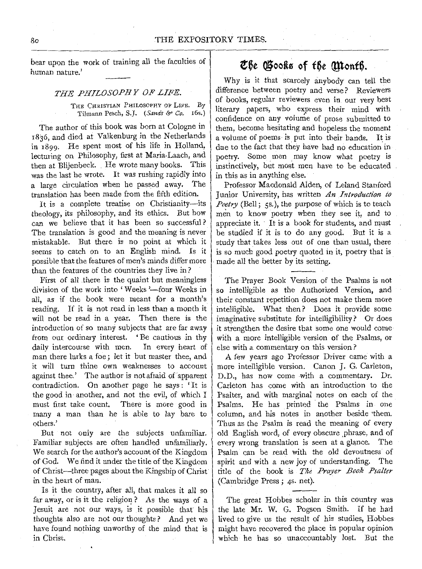bear upon the work of training all the faculties of human nature.'

#### *THE PHILOSOPHY OF LIFE.*

THE CHRISTIAN PHILOSOPHY OF LIFE. By Tilmann Pesch, S.J. *(Sands* & *Co.* r6s.)

The author of this book was born at Cologne in 1836, and died at Valkenburg in the Netherlands in 1899. He spent most of his life in Holland, lecturing on Philosophy, first at Maria-Laach, and then at Blijenbeck. He wrote many books. This was the last he wrote. It was rushing rapidly into a large circulation when he passed away. The translation has been made from the fifth edition.

It is a complete treatise on Christianity---its theology, its philosophy, and its ethics. But how can we believe that it has been so successful? The translation is good and the meaning is never mistakable. But there is no point at which it seems to catch on to an English mind. Is it possible that the features of men's minds differ more than the features of the countries they live in?

First of all there is the quaint but meaningless division of the work into 'Weeks'—four Weeks in all, as if the book were meant for a month's reading. If it is not read in less than a month it will not be read in a year. Then there is the introduction of so many subjects that are far away from our ordinary interest. ' Be cautious in thy daily intercourse with men. In every heart of man there lurks a foe; let it but master thee, and it will turn thine own weaknesses to account against thee.' The author is not afraid of apparent contradiction. On another page he. says: 'It is the good in· another, and not the evil, of which I must first take count. There is more good in many a man than he is able to lay bare to others.'

But not only are the subjects unfamiliar. Familiar subjects are often handled unfamiliarly. We search for the author's account of the Kingdom of God. We find it under the title of the Kingdom of Christ-three pages about the Kingship of Christ in the heart of man.

Is it the country, after all, that makes it all so far away, or is it the religioq.? As the ways of a Jesuit are not our ways, is it possible that his thoughts also are not our thoughts? And yet we have found nothing unworthy of the mind that is in Christ.

### t6~ **@ootla of** t6~ **(lltont6.**

Why is it that scarcely anybody can tell the difference between poetry and verse? Reviewers of books, regular reviewers even in our very best literary papers, who express their mind with confidence on any volume of prose submitted to them, become hesitating and hopeless the moment a volume of poems is put into their hands. It is due to the fact that they have had no education in poetry. Some men may know what poetry is instinctively, but most men have to be educated in this as in anything else.

Professor Macdonald Alden, of Leland Stanford Junior University, has written *An Introduction to Poetry* (Bell; 5s.), the purpose of which is to teach men to know poetry when they see it, and to appreciate it. · It is a book for students, and must be studied if it is to do any good. But it is a study that takes less out of one than usual, there is so much good poetry quoted in it, poetry that is made all the better by its setting.

The Prayer Book Version of the Psalms is not so intelligible as the Authorized Version, and their constant repetition does not make them more intelligible. What then? Does it provide some imaginative substitute for intelligibility? Or does it strengthen the desire that some one would come with a more intelligible version of the Psalms, or else with a commentary on this version?

A few years ago Professor Driver came with a more intelligible version. Canon J. G. Carleton, D.D., has now come with a commentary. Dr. Carleton has come with an introduction to the Psalter, and with marginal notes on each of the Psalms. He has printed the Psalms in one column, and his notes in another beside •them. Thus as the Psalm is read the meaning of every old English word, of every obscure phrase, and of every wrong translation is seen at a glance. The Psalm can be read with the old devoutness· of spirit and with a new joy of understanding. The title of the book is *The Prayer Book Psalter*  (Cam bridge Press ; 4s. net).

The great Hobbes scholar in this country was the late Mr. W. G. Pogson Smith. If he had lived to give us the result of his studies, Hobbes might have recovered the place in popular opinion which he has so unaccountably lost. But the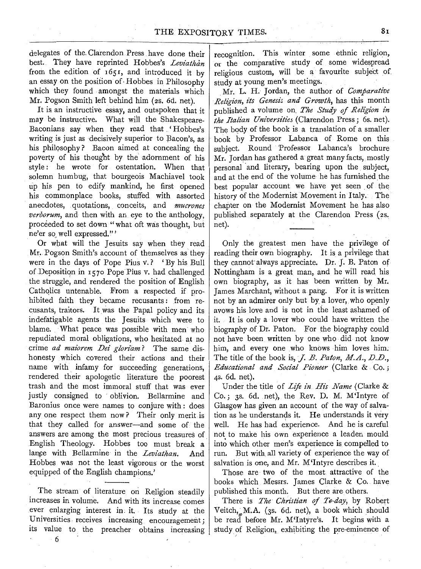delegates of the. Clarendon. Press have done their best. They have reprinted Hobbes's *Leviathan*  from the edition of  $165$ <sup>r</sup>, and introduced it by an essay on the position of· Hobbes in Philosophy which they found amongst the materials which Mr. Pogson Smith left behind him (2s. 6d. net).

It is an instructive essay, and outspoken that it may be instructive. What will the Shakespeare-Baconians say when they read that 'Hobbes's writing is just as decisively superior to Bacon's, as his philosophy ? Bacon aimed at concealing the poverty of his thoug'ht by the adornment of his style : he wrote for ostentation. When that solemn humbug, that bourgeois Machiavel took up his pen to edify mankind, he first opened his commonplace books, stuffed with assorted anecdotes, quotations, conceits, and *mucrones verborum,* and then with an eye to the anthology, proceeded to set down "what oft was thought, but ne'er so well expressed."'

Or what will the Jesuits say when they read Mr. Pogson Smith's account of themselves as they were in the days of Pope Pius v.? 'By his Bull of Deposition in 1570 Pope Pius v. had challenged the struggle, and rendered the position of English Cathqlics untenable. From a respected if prohibited faith they became recusants: from recusants, traitors. It was the Papal policy and its indefatigable agents the Jesuits which were to blame. What peace was possible with men who repudiated moral obligations, who hesitated at no crime *ad maiorem Dei gloriam?* The same dishonesty which covered their actions and their name with infamy for succeeding generations, rendered their apologetic literature the poorest trash and the most immoral stuff that was ever justly consigned to oblivion. Bellarmine and Baronius once were names to conjure with : does any one respect them now? Their only merit is that they called for answer-and some of the answers are among the most precious treasures of English Theology. Hobbes too must break a. lange with Bellarmine in the *Leviathan*. And Hobbes was not the least vigorous or the worst equipped of the English champions.'

The stream of literature on Religion steadily increases in volume. And with its increase comes ever enlarging interest in. it. Its study at the Universities. receives increasing encouragement; its value to the preacher obtains increasing recognition. This winter some ethnic religion, or the comparative study of some widespread religious custom, will be a favourite subject of study at young men's meetings.

Mr. L. H. Jordan, the author of *Comparative Religion, its Genesis and Growth,* has this month published a volume on. *The Study of Religion in the Italian Universities* (Clarendon Press; 6s. net). The body of the book is a translation of a smaller book by Professor Labanca of Rome on this subject. Round Professor Labanca's brochure Mr. Jordan has gathered a great many facts, mostly personal 'and literary, bearing upon the subject, and at the end of the volume he has furnished the best popular account we have yet seen of the history of the Modernist Movement in Italy. The chapter on the Modernist Movement he. has also published separately at the Clarendon Press (2s, net).

Only .the greatest men have the privilege of reading their own biography. It is a privilege that they cannot· always appreciate. Dr. J. B. Paton of Nottingham is a great man, and he will read his own biography, as it has been written by Mr. James Marchant, without a pang. For it is written not by an admirer only but by a lover, who openly avows his love and is not in the least ashamed of it. It is only a lover who could have written the biography of Dr. Paton. For the biography could not have been written by one who did not know him, and every one who knows him loves him. The title of the book is, *J. B. Paton, M.A., D.D.,*  Educational and Social Pioneer (Clarke & Co.; 4s. 6d. net).

Under the title of *Life in His Name* (Clarke & Co.; 3s. 6d. net), the Rev. D. M. M'Intyre of Glasgow has given an account of the way of salvation as he understands it. He understands it very well. He has had experience. And he is careful not to make his own experience a leaden mould into which other men's experience is compelled to run. But with all variety of experience the way of salvation is one, and Mr. M'Intyre describes it.

Those are two of the most attractive of the books which Messrs. James Clarke & Co. have published this month. But there are others.

There is *The Christian of To-day,* by Robert Veitch, M.A. (3s. 6d. net), a book which should be read before Mr. M'Intyre's. It begins with a studyof Religion, exhibiting the pre-eminence of

6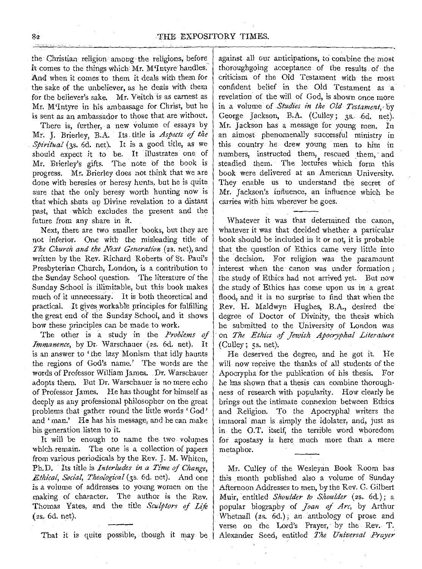the Christian religion· among the religions, before it comes to the things which Mr. M'Intyre handles. And when it comes to them it deals with them for the sake of the unbeliever, as he deals with them for the believer's sake. Mr. Veitch is as earnest as Mr. M'Intyre in his ambassage for Christ, but he is sent as an ambassador to those that are without.

There is, further, a new volume of essays by Mr. J. Brierley, B.A. Its title is *Aspects of the*  Spiritual (3s. 6d. net). It is a good title, as we should expect it to be. It illustrates one of Mr. Brierley's gifts. The note of the book is progress. Mr. Brierley does not think that we are done with heresies or heresy hunts, but he is quite sure that the only heresy worth hunting now is that which shuts up Divine revelation to a distant past, that which excludes the present and the future from any share in it.

Next, there are two smaller books, but they are not inferior. One with the misleading title of *The Church and the Next Generation* (2s. net), and written by the Rev. Richard Roberts of St. Paul's Presbyterian Church, London, is a contribution to the Sunday School question. The literature of the Sunday School is illimitable, but this book makes much of it unnecessary. It is both theoretical and practical. It gives workable principles for fulfilling the great end of the Sunday School, and it shows how these principles can be made to work.

The other is a study in the *Problems of Immanence,* by Dr. Warschauer (2s. 6d. net). It is an answer to ' the lazy Monism that idly haunts the regions of God's name.' The words are the words of Professor William James. Dr. Warschauer adopts them. But Dr. Warschauer is no mere echo of Professor James. He has thought for himself as deeply as any professional philosopher on the great problems that gather round the little words ' God' and 'man.' He has his message, and he can make his generation listen to it.

It will be enough to name the two volumes which remain. The one is a collection of papers from various periodicals by the Rev. J. M. Whiton, Ph.D. Its title is *Interludes in a Time of Change*, *Ethical, Social, Theological* (3s. 6d. net). And one is a volume of addresses to young women on the making of character. The author is the Rev. Thomas Yates, and the title *Sculptors of Life*  ( 2s. 6d. net).

That it is quite possible, though it may be

against all our anticipations, to combine the most thoroughgoing acceptance of the results of the criticism of the Old Testament with the most confident belief in the Old Testament as a revelation of the will of God, is shown once more in a volume of *Studies in the Old Testament*, by George Jackson, B.A. (Culley; 3s. 6d. net). Mr. Jackson has a message for young men. In an almost phenomenally successful ministry in this country he drew young men to him in numbers, instructed them, rescued them, ' and steadied them. The lectures which form this book were delivered at an American University. They enable us to understand the secret of Mr. Jackson's influence, an influence which he carries with him wherever he goes.

Whatever it was that determined the canon, whatever it was that decided whether a particular book should be included in it or not, it is probable that the question of Ethics came very ·little into the decision. For religion was the paramount interest when the canon was under formation ; the study of Ethics had not arrived yet. But now the study of Ethics has come upon us in a great flood, and it is no surprise to find that when the Rev. H. Maldwyn Hughes, B.A., desired the degree of Doctor of Divinity, the thesis which he submitted to the University of London was · on *The Ethics* of *Jewish Apocryphal Literature*  (Culley; ss. net).

He deserved the degree, and he got it. He will now receive the thanks of all students of the Apocrypha for the publication of his thesis. For he has shown that a thesis can combine thoroughness of research with popularity. How clearly he brings out the intimate connexion between Ethics and Religion. To the Apocryphal writers the immoral man is simply the idolater, and, just as in the O.T. itself, the terrible word whoredom for apostasy is here much more than a mere metaphor.

Mr. Culley of the Wesleyan Book Room has this month published also a volume of Sunday Afternoon Addresses to men, by the Rev. G. Gilbert Muir, entitled *Shoulder to Shoulder* (2s. 6d.); a popular biography of *Joan of Arc,* by Arthur Whetnall (2s. 6d.); an anthology of prose and verse on the Lord's Prayer,· by the Rev. T. Alexander Seed, entitled The Universal Prayer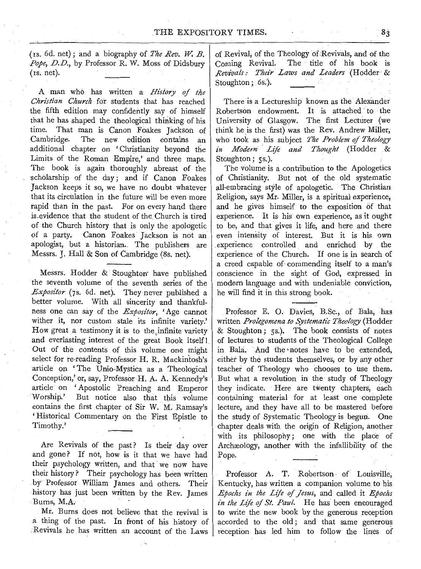(rs. 6d. net); and a biography of *The Rev.* W. *B. Pope, D. D.,* by Professor R. W. Moss of Didsbury  $(rs. net).$ 

A man wh6 has written a *History of the Christian Church* for students that has reached the fifth edition may confidently say of himself that he has shaped the theological thinking of his time. That man is Canon Foakes Jackson of<br>Cambridge. The new edition contains an The new edition contains an additional chapter on ' Christianity beyond the Limits of the Roman Empire,' and three maps. The book is again thoroughly abreast of the scholarship of the day; and if Canon Foakes Jackson keeps it so, we have no doubt whatever that its circulation in the future will be even more tapid than in the past. For on every hand there is.evidence that the student of the. Church is tired of the Church history that is only the apologetic of a party. Canon Foakes Jackson is not an apologist, but a historian.. The publishers are Messrs. J. Hall & Son of Cambridge (8s. net).

Messrs. Hodder & Stoughton· have published the seventh volume of the seventh series of the *Expositor* (7s. 6d. net). They never published a better volume. With all sincerity and thankfulness one can say of the *Expositor,* 'Age cannot wither it, nor custom stale its infinite variety.' How great a testimony it is to the infinite variety and everlasting interest of the great Book itself!. Out of the contents of this volume one might select for re-reading Professor H. R. Mackintosh's article on 'The Unio-Mystica as a Theological Conception,' or, say, Professor H. A. A. Kennedy's article on ' Apostolic Preaching and Emperor Worship.' But notice also that this volume contains the first chapter of Sir W. M. Ramsay's 'Historical Commentary on the First Epistle to Timothy.'

Are Revivals of the past? Is their day over and gone? If not, how is it that we have had their psychology written, and that we now have their history? Their psychology has been written by Professor William James and others. Their history has just been written by the Rev. James Burns, M.A,

Mr. Burns does not believe that the revival is a thing of the past. In front of his history of .Revivals he has written an account of the Laws

of Revival, of the Theology of Revivals, and of the<br>Coming Revival. The title of his book is The title of his book is *Revivals: Their Laws and Leaders* (Hodder· & Stoughton; 6s.).

There is a Lectureship known as the Alexander Robertson endowment. It is attached to the University of Glasgow. The first Lecturer (we think he is the first) was the Rev. Andrew Miller, who took as his subject *The Problem of Theology in Modern* · *Life and Thought* (Hodder & Stoughton; 5s.).

The volume is a contribution to the Apologetics of Christianity. But not of the old systematic all-embracing style of apologetic. The Christian Religion, says Mr. Miller, is a spiritual experience, and he gives himself to the exposition of that experience. It is his own experience, as it ought to be, and that gives it life, and here and there even intensity of interest. But it is his own experience controlled and enriched by the experience of the Church. If one is in search of a creed capable of commending itself to a man's conscience in the sight of God, expressed in modern language and with undeniable conviction, he will find it in this strong book.

Professor E. 0. Davies, B.Sc., of Bala, has written *Prolegomena to Systematic Theology* (Hodder & Stoughton; 5s.). The book consists of notes of lectures to students of the Theological College in Bala. And the' notes have to be extended, either by the students themselves, or by any other teacher of Theology who chooses to use them. But what a revolution in the study of Theology they indicate. Here are twenty chapters; each containing material for at least one complete lecture, and they have all to be mastered before the study of Systematic Theology is begun. One chapter deals with the origin of Religion, another with its philosophy; one with the place of Archæology, another with the infallibility of the Pope.

Professor A. T. Robertson of Louisville, Kentucky, has written a companion volume to his *Epochs in the Life of Jesus,* and called it *Epochs in the Life of St. Paul.* He has been encouraged to write the new book by the generous reception accorded to the old; and that same generous reception has led him to follow the lines of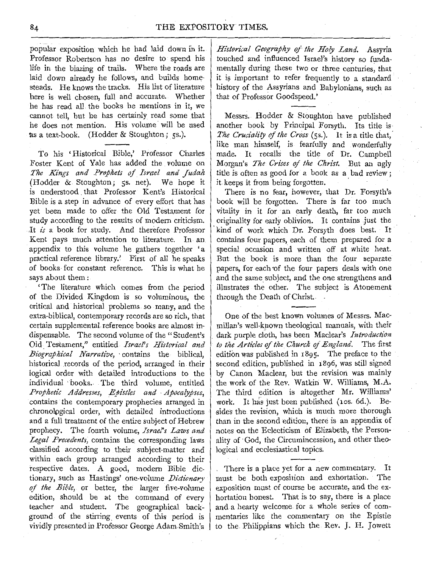popular exposition which he had laid down in it. Professor Robertson has no desire to spend his life in the blazing of trails. Where the roads are laid down already he follows, and builds homesteads. He knows the tracks. His list of literature here is well chosen, full and accurate. Whether he has read all the books he mentions in it, we cannot tell, but he has certainly read some that he does not mention. His volume will be used as a text-book. (Hodder & Stoughton; 5s.).

To his 'Historical Bible,' Professor Charles Foster Kent of Yale has added the volume on *The Kings and Prophets of Israel and Judah*  (Hodder & Stoughton; 5s. net). We hope it is understood that Professor Kent's Historical Bible is a step in advance of every effort that has yet been made to offer the Old Testament for study according to the results of modern criticism. It *is* a book for study. And therefore Professor Kent pays much attention to literature. In an appendix to this volume he gathers together 'a practical reference library.' First of all he speaks of books for constant reference. This is what he says about them:

'The literature which comes from the period of the Divided Kingdom is so voluminous, the critical and historical problems so many, and the extra-biblical, contemporary records are so rich, that certain supplemental reference books are almost indispensable. The second volume of the "Student's Old. Testament," entitled *Israel's Historical and Biographical Narrative*, contains the biblical, historical records of the period, arranged in their logical order with detailed introductions to the individual books. The third volume, entitled *Prophett'c Addresses, Epistles and ·Apocalypses,*  contains the contemporary prophecies arranged in chronolpgical order, with detailed introductions and a full treatment of the entire subject of Hebrew prophecy. The fourth volume, *Israel's Laws and Legal Precedents,* contains the corresponding laws classified according to their subject-matter and within each group arranged according to their respective dates. A good, modern Bible dictionary, such as Hastings' one-volume *Dictionary of the Bible,* or better, the larger five-volume edition, should be at the command of every teacher and student. The geographical background of the stirring. events of this period is vividly presented in Professor George Adam Smith's

*Hi'stori'cal Geography of the Holy Land.* Assyria touched and influenced Israel's history so fundamentally during these two or three centuries, that it is important to refer frequently to a standard history of the Assyrians and Babylonians, such as that of Professor Goodspeed.'

Messrs. Hodder & Stoughton have published another book by Principal Forsyth. Its title is *The Cruciality of the Cross* (5s.). It is a title that, like man himself, is fearfully and wonderfully made. It recalls the title of Dr. Campbell Morgan's *The Crises of the Christ.* But an ugly title is often as good for a book as a bad review ; it keeps it from being forgotten.

There is no fear, however, that Dr. Forsyth's book will be forgotten. There is far too much vitality in it for an early death, far too much originality for early oblivion. It contains just the kind of work which Dr. Forsyth does best. It contains four papers, each of them prepared for a special occasion and written off at white heat. But the book is more than the four separate papers, for each of the four papers deals with one and the same subject, and the one strengthens and illustrates the other. The subject is Atonement through the Death of Christ..

One of the best known volumes of Messrs. Macmillan's well-known theological manuals, with their dark purple cloth, has been Maclear's *Introduction*  to the Articles of the Church of England. The first edition was published in 1895. The preface to the second edition, published in 1896, was still signed by Canon Maclear, but the revision was mainly the work of the Rev. Watkin W. Williams, M.A. The third edition is altogether Mr. Williams' work. It has just been published (1os. 6d.). Besides the revision, which is much more thorough than in the second edition, there is an appendix of notes on the Eclecticism of Elizabeth, the Personality of ·God, the Circumincession, and other theological and ecclesiastical topics.

. There is a place yet for a new commentary. It must be both exposition and exhortation. The exposition must of course be accurate, and the exhortation honest. That is to say, there is a place and a hearty welcome for a whole series of commentaries like the commentary on the Epistle to the Philippians which the Rev. J. H. Jowett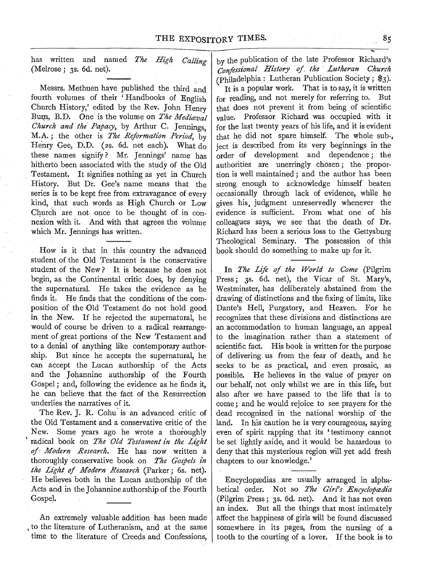has written and named *The High Calling* (Melrose; 3s. 6d. net).

Messrs. Methuen have published the third and fourth volumes of their ' Handbooks of English Church History,' edited by the Rev. John Henry Burp, B.D. One is the volume on *The Mediceval Church and the' Papacy,* by Arthur C. Jennings, M.A.; the other is *The Reformation Period*, by Henry Gee, D.D. (2s. 6d. net each). What do these names signify? Mr. Jennings' name has hitherto been associated with the study of the Old Testament. It signifies nothing as yet in Church History. But Dr. Gee's name means that the series is to be kept free from extravagance of every kind, that such words as High Church or Low Church are not once to be thought of in connexion with it. And with that agrees the volume which Mr. Jennings has written.

How is it that in this country the advanced student of the Old Testament is the conservative student of the New? It is because he does not begin, as the Continental critic does, by denying the supernatural. He takes the evidepce as he finds it. He finds that the conditions of the composition of the Old Testament do not hold good in the New. If he rejected the supernatural, he would of course be driven to a radical rearrangement of great portions of the New Testament and to a denial of anything like contemporary authorship. But since he accepts the supernatural, he can accept the Lucan authorship of the Acts and the Johannine authorship of the Fourth Gospel ; and, following the evidence as he finds it, he can believe that the fact of the Resurrection underlies the narratives of it.

The Rev. J. R. Cohu' is an advanced critic of the Old Testament and a conservative critic of the New. Some years ago he wrote a thoroughly radical book on *The Old Testament in the Light of Modern Research.* He has now written a thoroughly conservative book on *The Gospels in the Light of Modern Research* (Parker; 6s. net). He believes both in the Lucan authorship of the Acts and in the Johannine authorship of the Fourth Gospel.

An extremely valuable addition has been made to the literature of Lutheranism, and at the same time to the literature of Creeds and Confessions,

by the publication of the late Professor Richard's *Conftssz'onal History of the* · *Lutheran Church*  (Philadelphia : Lutheran Publication Society ;  $\frac{1}{3}$ ).

It is a popular work. That is to say, it is written for reading, and not merely for referring to. But that does not prevent it from being of scientific value. Professor Richard was occupied with it for the last twenty years of his life, and it is evident that he did not spare himself. The whole sub-, ject is described from its very beginnings in the order of development and dependence ; the authorities are unerringly chosen; the . proportion is well maintained; and the author has been strong enough to acknowledge himself beaten occasionally through lack of evidence, while he gives his, judgment unreservedly whenever the evidence is sufficient. From what one' of his colleagues says, we see that the death of Dr. Richard has been a serious loss to the Gettysburg Theological Seminary. The possession of this book should do something to make up for it.

In *The Life of the World to Come* (Pilgrim Press; 3s. 6d. net), the Vicar of St. Mary's, Westminster, has deliberately abstained from the drawing of distinctions and the fixing of limits, like Dante's Hell, Purgatory, and Heaven. For he recognizes that these divisions and distinctions are an accommodation to human language, an appeal to the imagination rather than a statement of scientific fact. His book is written for the purpose of delivering us from the fear of death, and he seeks to be as practical, and even prosaic, as possible. He believes in the value of prayer on our behalf, not only whilst we are in this life, but also after we have passed to the life that is to come; and he would rejoice to see prayers for the dead recognized in the national worship of the land. In his caution he is very courageous, saying even of spirit rapping that its ' testimony cannot be set lightly aside, and it would be hazardous to deny that this mysterious region will yet add fresh chapters to our knowledge.'

Encyclopredias are usually arranged in alphabetical order. Not so *The Girl's Encyclopædia* (Pilgrim Press; 3s. 6d. net). And it has not even an index. But all the things that most intimately affect the happiness of girls will be found discussed somewhere in its pages, from the nursing of a tooth to the courting of a lover. If the book is to

85